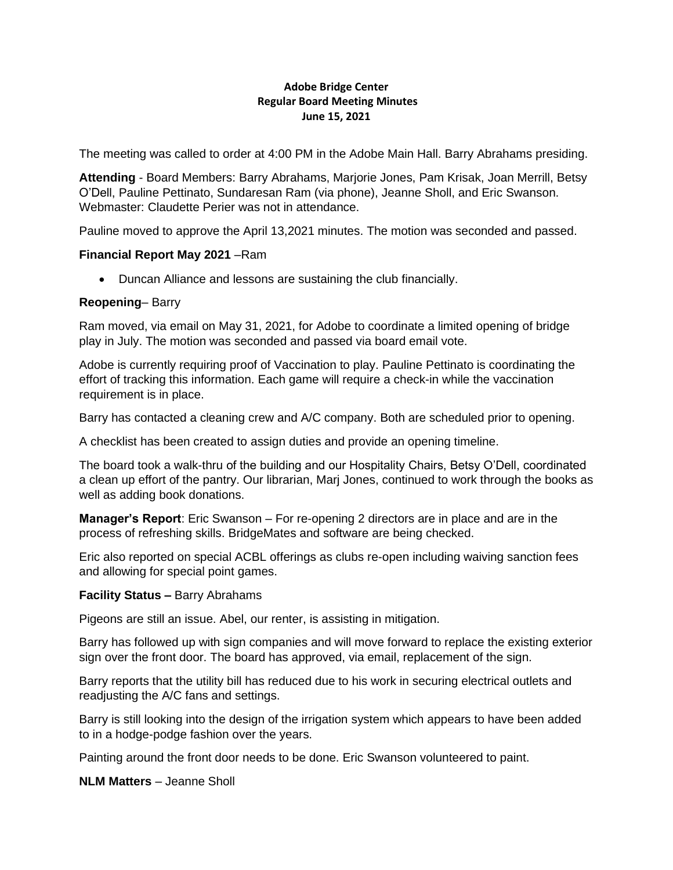# **Adobe Bridge Center Regular Board Meeting Minutes June 15, 2021**

The meeting was called to order at 4:00 PM in the Adobe Main Hall. Barry Abrahams presiding.

**Attending** - Board Members: Barry Abrahams, Marjorie Jones, Pam Krisak, Joan Merrill, Betsy O'Dell, Pauline Pettinato, Sundaresan Ram (via phone), Jeanne Sholl, and Eric Swanson. Webmaster: Claudette Perier was not in attendance.

Pauline moved to approve the April 13,2021 minutes. The motion was seconded and passed.

### **Financial Report May 2021** –Ram

• Duncan Alliance and lessons are sustaining the club financially.

## **Reopening**– Barry

Ram moved, via email on May 31, 2021, for Adobe to coordinate a limited opening of bridge play in July. The motion was seconded and passed via board email vote.

Adobe is currently requiring proof of Vaccination to play. Pauline Pettinato is coordinating the effort of tracking this information. Each game will require a check-in while the vaccination requirement is in place.

Barry has contacted a cleaning crew and A/C company. Both are scheduled prior to opening.

A checklist has been created to assign duties and provide an opening timeline.

The board took a walk-thru of the building and our Hospitality Chairs, Betsy O'Dell, coordinated a clean up effort of the pantry. Our librarian, Marj Jones, continued to work through the books as well as adding book donations.

**Manager's Report**: Eric Swanson – For re-opening 2 directors are in place and are in the process of refreshing skills. BridgeMates and software are being checked.

Eric also reported on special ACBL offerings as clubs re-open including waiving sanction fees and allowing for special point games.

### **Facility Status –** Barry Abrahams

Pigeons are still an issue. Abel, our renter, is assisting in mitigation.

Barry has followed up with sign companies and will move forward to replace the existing exterior sign over the front door. The board has approved, via email, replacement of the sign.

Barry reports that the utility bill has reduced due to his work in securing electrical outlets and readjusting the A/C fans and settings.

Barry is still looking into the design of the irrigation system which appears to have been added to in a hodge-podge fashion over the years.

Painting around the front door needs to be done. Eric Swanson volunteered to paint.

**NLM Matters** – Jeanne Sholl